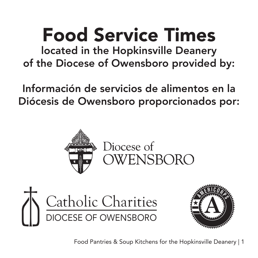## Food Service Times

located in the Hopkinsville Deanery of the Diocese of Owensboro provided by:

Información de servicios de alimentos en la Diócesis de Owensboro proporcionados por:







Food Pantries & Soup Kitchens for the Hopkinsville Deanery | 1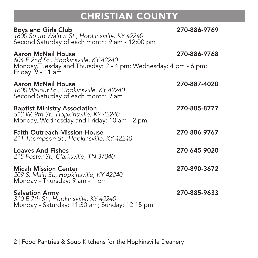## CHRISTIAN COUNTY

| <b>Boys and Girls Club</b><br>1600 South Walnut St., Hopkinsville, KY 42240<br>Second Saturday of each month: 9 am - 12:00 pm                       | 270-886-9769 |
|-----------------------------------------------------------------------------------------------------------------------------------------------------|--------------|
| Aaron McNeil House<br>604 E 2nd St., Hopkinsville, KY 42240<br>Monday, Tuesday and Thursday: 2 - 4 pm; Wednesday: 4 pm - 6 pm;<br>Friday: 9 - 11 am | 270-886-9768 |
| Aaron McNeil House<br>1600 Walnut St., Hopkinsville, KY 42240<br>Second Saturday of each month: 9 am                                                | 270-887-4020 |
| <b>Baptist Ministry Association</b><br>513 W. 9th St., Hopkinsville, KY 42240<br>Monday, Wednesday and Friday: 10 am - 2 pm                         | 270-885-8777 |
| <b>Faith Outreach Mission House</b><br>211 Thompson St., Hopkinsville, KY 42240                                                                     | 270-886-9767 |
| <b>Loaves And Fishes</b><br>215 Foster St., Clarksville, TN 37040                                                                                   | 270-645-9020 |
| <b>Micah Mission Center</b><br>209 S. Main St., Hopkinsville, KY 42240<br>Monday - Thursday: 9 am - 1 pm                                            | 270-890-3672 |
| <b>Salvation Army</b><br>310 E 7th St., Hopkinsville, KY 42240<br>Monday - Saturday: 11:30 am; Sunday: 12:15 pm                                     | 270-885-9633 |

2 | Food Pantries & Soup Kitchens for the Hopkinsville Deanery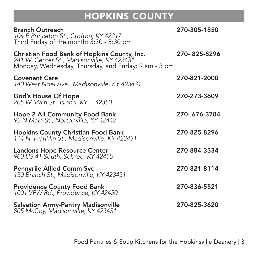## HOPKINS COUNTY

| <b>Branch Outreach</b><br>104 E Princeton St., Crofton, KY 42217<br>Third Friday of the month: 3:30 - 5:30 pm                                     | 270-305-1850 |
|---------------------------------------------------------------------------------------------------------------------------------------------------|--------------|
| Christian Food Bank of Hopkins County, Inc.<br>241 W. Center St., Madisonville, KY 423431<br>Monday, Wednesday, Thursday, and Friday: 9 am - 3 pm | 270-825-8296 |
| <b>Covenant Care</b><br>140 West Noel Ave., Madisonville, KY 423431                                                                               | 270-821-2000 |
| God's House Of Hope<br>205 W Main St., Island, KY 42350                                                                                           | 270-273-3609 |
| <b>Hope 2 All Community Food Bank</b><br>92 N Main St., Nortonville, KY 42442                                                                     | 270-676-3784 |
| <b>Hopkins County Christian Food Bank</b><br>114 N. Franklin St., Madisonville, KY 423431                                                         | 270-825-8296 |
| <b>Landons Hope Resource Center</b><br>900 US 41 South, Sebree, KY 42455                                                                          | 270-884-3334 |
| <b>Pennyrile Allied Comm Svc</b><br>130 Branch St., Madisonville, KY 423431                                                                       | 270-821-8114 |
| <b>Providence County Food Bank</b><br>1001 VFW Rd., Providence, KY 42450                                                                          | 270-836-5521 |
| <b>Salvation Army-Pantry Madisonville</b><br>805 McCoy, Madisonville, KY 423431                                                                   | 270-825-3620 |